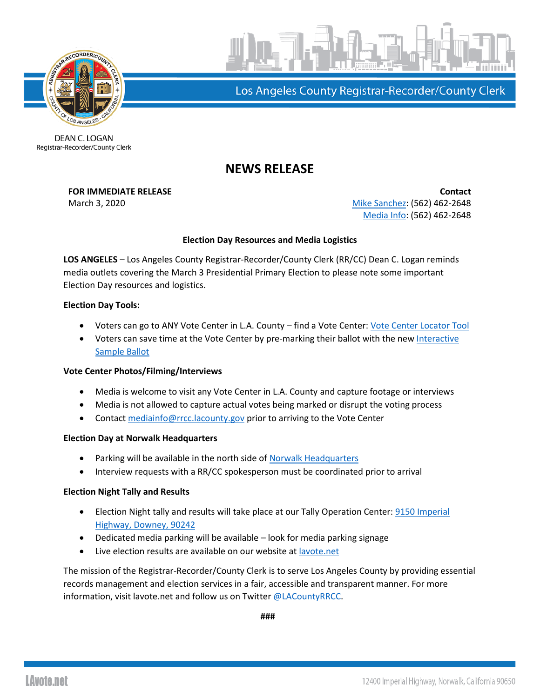

Los Angeles County Registrar-Recorder/County Clerk

DEAN C. LOGAN Registrar-Recorder/County Clerk

# **NEWS RELEASE**

**FOR IMMEDIATE RELEASE Contact** March 3, 2020 **[Mike Sanchez:](mailto:msanchez@rrcc.lacounty.gov)** (562) 462-2648 [Media Info:](mailto:mediainfo@rrcc.lacounty.gov) (562) 462-2648

# **Election Day Resources and Media Logistics**

**LOS ANGELES** – Los Angeles County Registrar-Recorder/County Clerk (RR/CC) Dean C. Logan reminds media outlets covering the March 3 Presidential Primary Election to please note some important Election Day resources and logistics.

### **Election Day Tools:**

- Voters can go to ANY Vote Center in L.A. County find a Vote Center: [Vote Center Locator Tool](https://locator.lavote.net/locations/vc)
- Voters can save time at the Vote Center by pre-marking their ballot with the new Interactive [Sample Ballot](https://isb.lavote.net/)

# **Vote Center Photos/Filming/Interviews**

- Media is welcome to visit any Vote Center in L.A. County and capture footage or interviews
- Media is not allowed to capture actual votes being marked or disrupt the voting process
- Contact [mediainfo@rrcc.lacounty.gov](mailto:mediainfo@rrcc.lacounty.gov) prior to arriving to the Vote Center

#### **Election Day at Norwalk Headquarters**

- Parking will be available in the north side of [Norwalk Headquarters](https://www.google.com/maps/place/12400+Imperial+Hwy,+Norwalk,+CA+90650/@33.9160764,-118.0701027,17z/data=!3m1!4b1!4m5!3m4!1s0x80c2d2d79ac96131:0x3157b9010b747f66!8m2!3d33.9160764!4d-118.067914)
- Interview requests with a RR/CC spokesperson must be coordinated prior to arrival

#### **Election Night Tally and Results**

- Election Night tally and results will take place at our Tally Operation Center: 9150 Imperial [Highway, Downey, 90242](https://www.google.com/search?aqs=chrome..69i57.125781j0j4&ie=UTF-8&oq=9150+Imperial+Highway%2C+Downey%2C+90242&q=9150+Imperial+Highway%2C+Downey%2C+90242&rlz=1C1CHBF_enUS828US828&sourceid=chrome&utm_content=&utm_medium=email&utm_name=&utm_source=govdelivery&utm_term=)
- Dedicated media parking will be available look for media parking signage
- Live election results are available on our website at [lavote.net](https://www.lavote.net/home/voting-elections/current-elections/election-results/live-results)

The mission of the Registrar-Recorder/County Clerk is to serve Los Angeles County by providing essential records management and election services in a fair, accessible and transparent manner. For more information, visit lavote.net and follow us on Twitter [@LACountyRRCC.](https://twitter.com/LACountyRRCC)

**###**